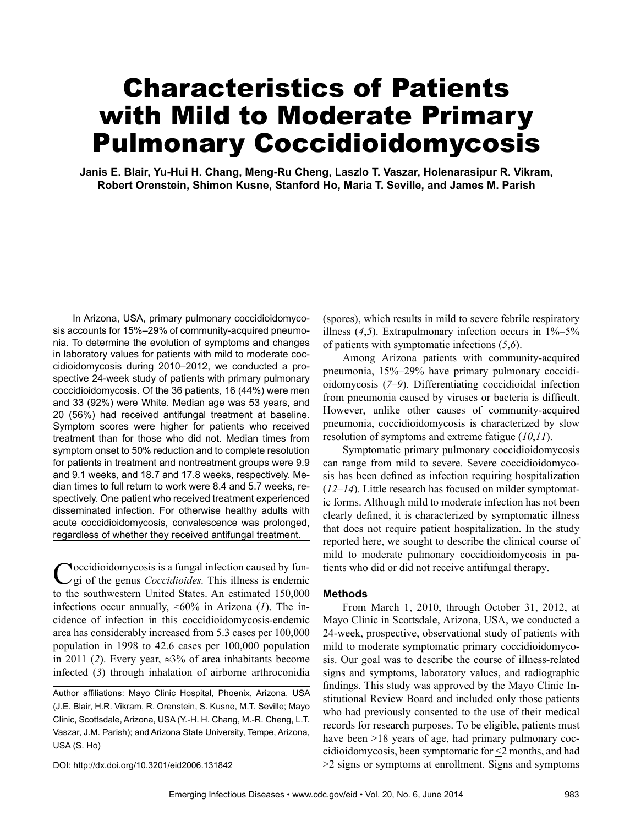# Characteristics of Patients with Mild to Moderate Primary Pulmonary Coccidioidomycosis

**Janis E. Blair, Yu-Hui H. Chang, Meng-Ru Cheng, Laszlo T. Vaszar, Holenarasipur R. Vikram, Robert Orenstein, Shimon Kusne, Stanford Ho, Maria T. Seville, and James M. Parish**

In Arizona, USA, primary pulmonary coccidioidomycosis accounts for 15%–29% of community-acquired pneumonia. To determine the evolution of symptoms and changes in laboratory values for patients with mild to moderate coccidioidomycosis during 2010–2012, we conducted a prospective 24-week study of patients with primary pulmonary coccidioidomycosis. Of the 36 patients, 16 (44%) were men and 33 (92%) were White. Median age was 53 years, and 20 (56%) had received antifungal treatment at baseline. Symptom scores were higher for patients who received treatment than for those who did not. Median times from symptom onset to 50% reduction and to complete resolution for patients in treatment and nontreatment groups were 9.9 and 9.1 weeks, and 18.7 and 17.8 weeks, respectively. Median times to full return to work were 8.4 and 5.7 weeks, respectively. One patient who received treatment experienced disseminated infection. For otherwise healthy adults with acute coccidioidomycosis, convalescence was prolonged, regardless of whether they received antifungal treatment.

Noccidioidomycosis is a fungal infection caused by fungi of the genus *Coccidioides.* This illness is endemic to the southwestern United States. An estimated 150,000 infections occur annually,  $\approx 60\%$  in Arizona (*1*). The incidence of infection in this coccidioidomycosis-endemic area has considerably increased from 5.3 cases per 100,000 population in 1998 to 42.6 cases per 100,000 population in 2011 (*2*). Every year, ≈3% of area inhabitants become infected (*3*) through inhalation of airborne arthroconidia

Author affiliations: Mayo Clinic Hospital, Phoenix, Arizona, USA (J.E. Blair, H.R. Vikram, R. Orenstein, S. Kusne, M.T. Seville; Mayo Clinic, Scottsdale, Arizona, USA (Y.-H. H. Chang, M.-R. Cheng, L.T. Vaszar, J.M. Parish); and Arizona State University, Tempe, Arizona, USA (S. Ho)

DOI: http://dx.doi.org/10.3201/eid2006.131842

(spores), which results in mild to severe febrile respiratory illness  $(4,5)$ . Extrapulmonary infection occurs in  $1\% - 5\%$ of patients with symptomatic infections (*5*,*6*).

Among Arizona patients with community-acquired pneumonia, 15%–29% have primary pulmonary coccidioidomycosis (*7*–*9*). Differentiating coccidioidal infection from pneumonia caused by viruses or bacteria is difficult. However, unlike other causes of community-acquired pneumonia, coccidioidomycosis is characterized by slow resolution of symptoms and extreme fatigue (*10*,*11*).

Symptomatic primary pulmonary coccidioidomycosis can range from mild to severe. Severe coccidioidomycosis has been defined as infection requiring hospitalization (*12*–*14*). Little research has focused on milder symptomatic forms. Although mild to moderate infection has not been clearly defined, it is characterized by symptomatic illness that does not require patient hospitalization. In the study reported here, we sought to describe the clinical course of mild to moderate pulmonary coccidioidomycosis in patients who did or did not receive antifungal therapy.

#### **Methods**

From March 1, 2010, through October 31, 2012, at Mayo Clinic in Scottsdale, Arizona, USA, we conducted a 24-week, prospective, observational study of patients with mild to moderate symptomatic primary coccidioidomycosis. Our goal was to describe the course of illness-related signs and symptoms, laboratory values, and radiographic findings. This study was approved by the Mayo Clinic Institutional Review Board and included only those patients who had previously consented to the use of their medical records for research purposes. To be eligible, patients must have been  $\geq$ 18 years of age, had primary pulmonary coccidioidomycosis, been symptomatic for <2 months, and had  $\geq$ 2 signs or symptoms at enrollment. Signs and symptoms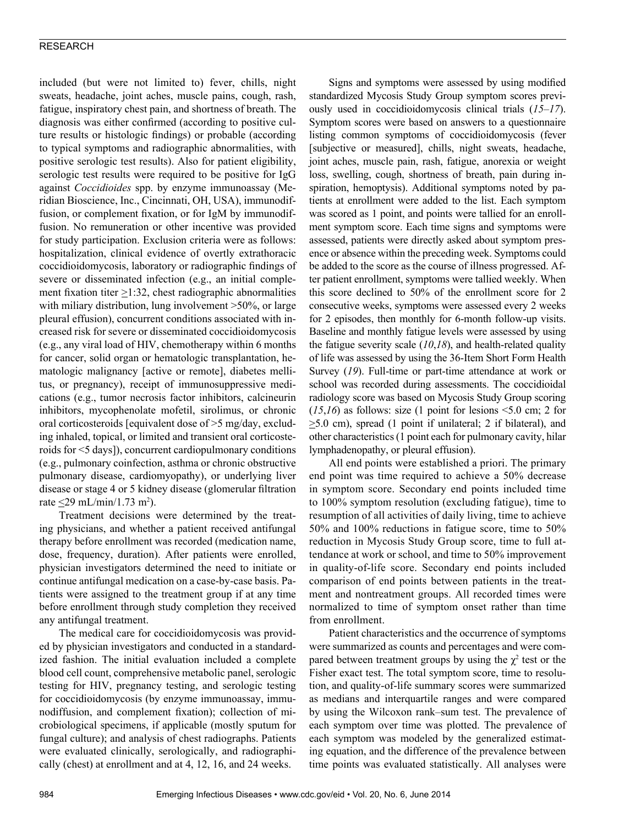included (but were not limited to) fever, chills, night sweats, headache, joint aches, muscle pains, cough, rash, fatigue, inspiratory chest pain, and shortness of breath. The diagnosis was either confirmed (according to positive culture results or histologic findings) or probable (according to typical symptoms and radiographic abnormalities, with positive serologic test results). Also for patient eligibility, serologic test results were required to be positive for IgG against *Coccidioides* spp. by enzyme immunoassay (Meridian Bioscience, Inc., Cincinnati, OH, USA), immunodiffusion, or complement fixation, or for IgM by immunodiffusion. No remuneration or other incentive was provided for study participation. Exclusion criteria were as follows: hospitalization, clinical evidence of overtly extrathoracic coccidioidomycosis, laboratory or radiographic findings of severe or disseminated infection (e.g., an initial complement fixation titer >1:32, chest radiographic abnormalities with miliary distribution, lung involvement >50%, or large pleural effusion), concurrent conditions associated with increased risk for severe or disseminated coccidioidomycosis (e.g., any viral load of HIV, chemotherapy within 6 months for cancer, solid organ or hematologic transplantation, hematologic malignancy [active or remote], diabetes mellitus, or pregnancy), receipt of immunosuppressive medications (e.g., tumor necrosis factor inhibitors, calcineurin inhibitors, mycophenolate mofetil, sirolimus, or chronic oral corticosteroids [equivalent dose of >5 mg/day, excluding inhaled, topical, or limited and transient oral corticosteroids for <5 days]), concurrent cardiopulmonary conditions (e.g., pulmonary coinfection, asthma or chronic obstructive pulmonary disease, cardiomyopathy), or underlying liver disease or stage 4 or 5 kidney disease (glomerular filtration rate  $\leq$ 29 mL/min/1.73 m<sup>2</sup>).

Treatment decisions were determined by the treating physicians, and whether a patient received antifungal therapy before enrollment was recorded (medication name, dose, frequency, duration). After patients were enrolled, physician investigators determined the need to initiate or continue antifungal medication on a case-by-case basis. Patients were assigned to the treatment group if at any time before enrollment through study completion they received any antifungal treatment.

The medical care for coccidioidomycosis was provided by physician investigators and conducted in a standardized fashion. The initial evaluation included a complete blood cell count, comprehensive metabolic panel, serologic testing for HIV, pregnancy testing, and serologic testing for coccidioidomycosis (by enzyme immunoassay, immunodiffusion, and complement fixation); collection of microbiological specimens, if applicable (mostly sputum for fungal culture); and analysis of chest radiographs. Patients were evaluated clinically, serologically, and radiographically (chest) at enrollment and at 4, 12, 16, and 24 weeks.

Signs and symptoms were assessed by using modified standardized Mycosis Study Group symptom scores previously used in coccidioidomycosis clinical trials (*15*–*17*). Symptom scores were based on answers to a questionnaire listing common symptoms of coccidioidomycosis (fever [subjective or measured], chills, night sweats, headache, joint aches, muscle pain, rash, fatigue, anorexia or weight loss, swelling, cough, shortness of breath, pain during inspiration, hemoptysis). Additional symptoms noted by patients at enrollment were added to the list. Each symptom was scored as 1 point, and points were tallied for an enrollment symptom score. Each time signs and symptoms were assessed, patients were directly asked about symptom presence or absence within the preceding week. Symptoms could be added to the score as the course of illness progressed. After patient enrollment, symptoms were tallied weekly. When this score declined to 50% of the enrollment score for 2 consecutive weeks, symptoms were assessed every 2 weeks for 2 episodes, then monthly for 6-month follow-up visits. Baseline and monthly fatigue levels were assessed by using the fatigue severity scale (*10*,*18*), and health-related quality of life was assessed by using the 36-Item Short Form Health Survey (*19*). Full-time or part-time attendance at work or school was recorded during assessments. The coccidioidal radiology score was based on Mycosis Study Group scoring  $(15,16)$  as follows: size (1 point for lesions  $\leq 5.0$  cm; 2 for >5.0 cm), spread (1 point if unilateral; 2 if bilateral), and other characteristics (1 point each for pulmonary cavity, hilar lymphadenopathy, or pleural effusion).

All end points were established a priori. The primary end point was time required to achieve a 50% decrease in symptom score. Secondary end points included time to 100% symptom resolution (excluding fatigue), time to resumption of all activities of daily living, time to achieve 50% and 100% reductions in fatigue score, time to 50% reduction in Mycosis Study Group score, time to full attendance at work or school, and time to 50% improvement in quality-of-life score. Secondary end points included comparison of end points between patients in the treatment and nontreatment groups. All recorded times were normalized to time of symptom onset rather than time from enrollment.

Patient characteristics and the occurrence of symptoms were summarized as counts and percentages and were compared between treatment groups by using the  $\chi^2$  test or the Fisher exact test. The total symptom score, time to resolution, and quality-of-life summary scores were summarized as medians and interquartile ranges and were compared by using the Wilcoxon rank–sum test. The prevalence of each symptom over time was plotted. The prevalence of each symptom was modeled by the generalized estimating equation, and the difference of the prevalence between time points was evaluated statistically. All analyses were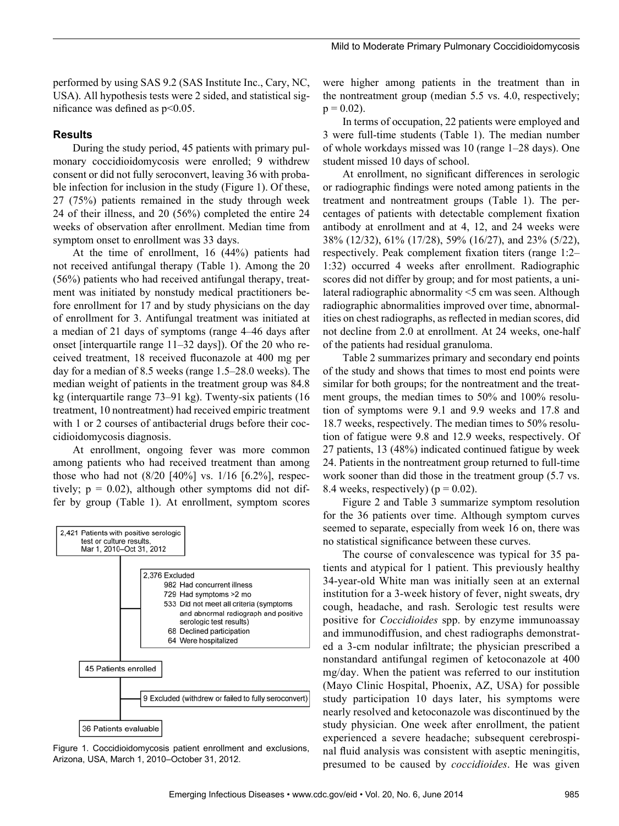performed by using SAS 9.2 (SAS Institute Inc., Cary, NC, USA). All hypothesis tests were 2 sided, and statistical significance was defined as  $p<0.05$ .

#### **Results**

During the study period, 45 patients with primary pulmonary coccidioidomycosis were enrolled; 9 withdrew consent or did not fully seroconvert, leaving 36 with probable infection for inclusion in the study (Figure 1). Of these, 27 (75%) patients remained in the study through week 24 of their illness, and 20 (56%) completed the entire 24 weeks of observation after enrollment. Median time from symptom onset to enrollment was 33 days.

At the time of enrollment, 16 (44%) patients had not received antifungal therapy (Table 1). Among the 20 (56%) patients who had received antifungal therapy, treatment was initiated by nonstudy medical practitioners before enrollment for 17 and by study physicians on the day of enrollment for 3. Antifungal treatment was initiated at a median of 21 days of symptoms (range 4–46 days after onset [interquartile range 11–32 days]). Of the 20 who received treatment, 18 received fluconazole at 400 mg per day for a median of 8.5 weeks (range 1.5–28.0 weeks). The median weight of patients in the treatment group was 84.8 kg (interquartile range 73–91 kg). Twenty-six patients (16 treatment, 10 nontreatment) had received empiric treatment with 1 or 2 courses of antibacterial drugs before their coccidioidomycosis diagnosis.

At enrollment, ongoing fever was more common among patients who had received treatment than among those who had not  $(8/20 \, 140\%)$  vs. 1/16 [6.2%], respectively;  $p = 0.02$ ), although other symptoms did not differ by group (Table 1). At enrollment, symptom scores



Figure 1. Coccidioidomycosis patient enrollment and exclusions, Arizona, USA, March 1, 2010–October 31, 2012.

were higher among patients in the treatment than in the nontreatment group (median 5.5 vs. 4.0, respectively;  $p = 0.02$ ).

In terms of occupation, 22 patients were employed and 3 were full-time students (Table 1). The median number of whole workdays missed was 10 (range 1–28 days). One student missed 10 days of school.

At enrollment, no significant differences in serologic or radiographic findings were noted among patients in the treatment and nontreatment groups (Table 1). The percentages of patients with detectable complement fixation antibody at enrollment and at 4, 12, and 24 weeks were 38% (12/32), 61% (17/28), 59% (16/27), and 23% (5/22), respectively. Peak complement fixation titers (range 1:2– 1:32) occurred 4 weeks after enrollment. Radiographic scores did not differ by group; and for most patients, a unilateral radiographic abnormality <5 cm was seen. Although radiographic abnormalities improved over time, abnormalities on chest radiographs, as reflected in median scores, did not decline from 2.0 at enrollment. At 24 weeks, one-half of the patients had residual granuloma.

Table 2 summarizes primary and secondary end points of the study and shows that times to most end points were similar for both groups; for the nontreatment and the treatment groups, the median times to 50% and 100% resolution of symptoms were 9.1 and 9.9 weeks and 17.8 and 18.7 weeks, respectively. The median times to 50% resolution of fatigue were 9.8 and 12.9 weeks, respectively. Of 27 patients, 13 (48%) indicated continued fatigue by week 24. Patients in the nontreatment group returned to full-time work sooner than did those in the treatment group (5.7 vs. 8.4 weeks, respectively) ( $p = 0.02$ ).

Figure 2 and Table 3 summarize symptom resolution for the 36 patients over time. Although symptom curves seemed to separate, especially from week 16 on, there was no statistical significance between these curves.

The course of convalescence was typical for 35 patients and atypical for 1 patient. This previously healthy 34-year-old White man was initially seen at an external institution for a 3-week history of fever, night sweats, dry cough, headache, and rash. Serologic test results were positive for *Coccidioides* spp. by enzyme immunoassay and immunodiffusion, and chest radiographs demonstrated a 3-cm nodular infiltrate; the physician prescribed a nonstandard antifungal regimen of ketoconazole at 400 mg/day. When the patient was referred to our institution (Mayo Clinic Hospital, Phoenix, AZ, USA) for possible study participation 10 days later, his symptoms were nearly resolved and ketoconazole was discontinued by the study physician. One week after enrollment, the patient experienced a severe headache; subsequent cerebrospinal fluid analysis was consistent with aseptic meningitis, presumed to be caused by *coccidioides*. He was given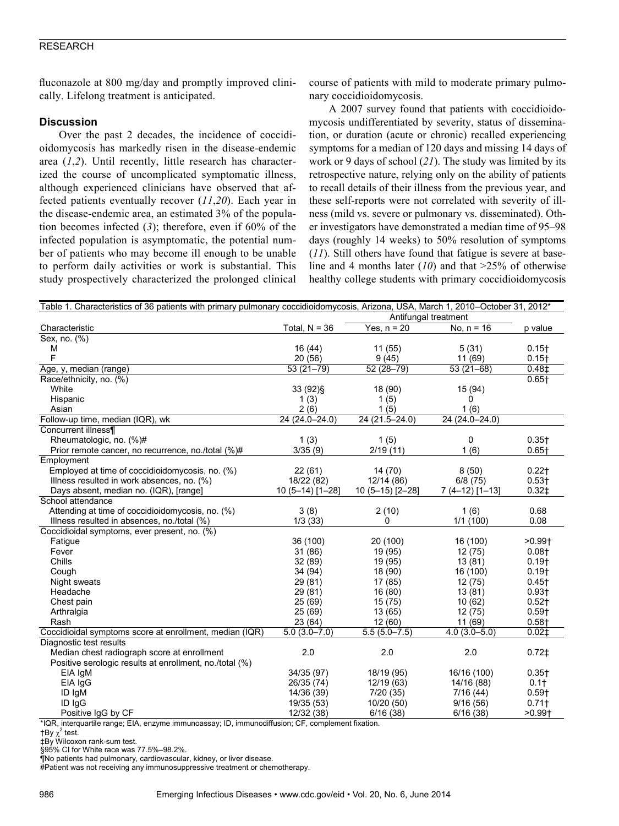fluconazole at 800 mg/day and promptly improved clinically. Lifelong treatment is anticipated.

## **Discussion**

Over the past 2 decades, the incidence of coccidioidomycosis has markedly risen in the disease-endemic area (*1*,*2*). Until recently, little research has characterized the course of uncomplicated symptomatic illness, although experienced clinicians have observed that affected patients eventually recover (*11*,*20*). Each year in the disease-endemic area, an estimated 3% of the population becomes infected (*3*); therefore, even if 60% of the infected population is asymptomatic, the potential number of patients who may become ill enough to be unable to perform daily activities or work is substantial. This study prospectively characterized the prolonged clinical course of patients with mild to moderate primary pulmonary coccidioidomycosis.

A 2007 survey found that patients with coccidioidomycosis undifferentiated by severity, status of dissemination, or duration (acute or chronic) recalled experiencing symptoms for a median of 120 days and missing 14 days of work or 9 days of school (*21*). The study was limited by its retrospective nature, relying only on the ability of patients to recall details of their illness from the previous year, and these self-reports were not correlated with severity of illness (mild vs. severe or pulmonary vs. disseminated). Other investigators have demonstrated a median time of 95–98 days (roughly 14 weeks) to 50% resolution of symptoms (*11*). Still others have found that fatigue is severe at baseline and 4 months later (*10*) and that >25% of otherwise healthy college students with primary coccidioidomycosis

| Table 1. Characteristics of 36 patients with primary pulmonary coccidioidomycosis, Arizona, USA, March 1, 2010–October 31, 2012* |                            |                      |                  |                      |  |  |  |
|----------------------------------------------------------------------------------------------------------------------------------|----------------------------|----------------------|------------------|----------------------|--|--|--|
|                                                                                                                                  |                            | Antifungal treatment |                  |                      |  |  |  |
| Characteristic                                                                                                                   | Total, $N = 36$            | Yes, $n = 20$        | No, $n = 16$     | p value              |  |  |  |
| Sex, no. (%)                                                                                                                     |                            |                      |                  |                      |  |  |  |
| M                                                                                                                                | 16 (44)                    | 11(55)               | 5(31)            | $0.15+$              |  |  |  |
| F                                                                                                                                | 20 (56)                    | 9(45)                | 11 (69)          | $0.15+$              |  |  |  |
| Age, y, median (range)                                                                                                           | $53(21 - 79)$              | 52 (28-79)           | $53(21 - 68)$    | 0.48 <sup>‡</sup>    |  |  |  |
| Race/ethnicity, no. (%)                                                                                                          |                            |                      |                  | $0.65 +$             |  |  |  |
| White                                                                                                                            | 33 (92)§                   | 18 (90)              | 15 (94)          |                      |  |  |  |
| Hispanic                                                                                                                         | 1(3)                       | 1(5)                 | 0                |                      |  |  |  |
| Asian                                                                                                                            | 2(6)                       | 1(5)                 | 1(6)             |                      |  |  |  |
| Follow-up time, median (IQR), wk                                                                                                 | $24(24.0-24.0)$            | $24(21.5-24.0)$      | 24 (24.0-24.0)   |                      |  |  |  |
| Concurrent illness¶                                                                                                              |                            |                      |                  |                      |  |  |  |
| Rheumatologic, no. (%)#                                                                                                          | 1(3)                       | 1(5)                 | $\mathbf 0$      | $0.35 +$             |  |  |  |
| Prior remote cancer, no recurrence, no./total (%)#                                                                               | 3/35(9)                    | 2/19(11)             | 1(6)             | $0.65 +$             |  |  |  |
| Employment                                                                                                                       |                            |                      |                  |                      |  |  |  |
| Employed at time of coccidioidomycosis, no. (%)                                                                                  | 22(61)                     | 14 (70)              | 8(50)            | $0.22$ †             |  |  |  |
| Illness resulted in work absences, no. (%)                                                                                       | 18/22 (82)                 | 12/14 (86)           | 6/8(75)          | $0.53 +$             |  |  |  |
| Days absent, median no. (IQR), [range]                                                                                           | $10(5-14)$ [1-28]          | 10 (5-15) [2-28]     | $7(4-12)$ [1-13] | $0.32+$              |  |  |  |
| School attendance                                                                                                                |                            |                      |                  |                      |  |  |  |
| Attending at time of coccidioidomycosis, no. (%)                                                                                 | 3(8)                       | 2(10)                | 1(6)             | 0.68                 |  |  |  |
| Illness resulted in absences, no./total (%)                                                                                      | 1/3(33)                    | 0                    | 1/1(100)         | 0.08                 |  |  |  |
| Coccidioidal symptoms, ever present, no. (%)                                                                                     |                            |                      |                  |                      |  |  |  |
| Fatigue                                                                                                                          | 36 (100)                   | 20 (100)             | 16 (100)         | $>0.99$ <sup>+</sup> |  |  |  |
| Fever                                                                                                                            | 31(86)                     | 19 (95)              | 12(75)           | $0.08 +$             |  |  |  |
| Chills                                                                                                                           | 32 (89)                    | 19 (95)              | 13(81)           | $0.19+$              |  |  |  |
| Cough                                                                                                                            | 34 (94)                    | 18 (90)              | 16 (100)         | $0.19+$              |  |  |  |
| Night sweats                                                                                                                     | 29 (81)                    | 17(85)               | 12(75)           | $0.45+$              |  |  |  |
| Headache                                                                                                                         | 29 (81)                    | 16 (80)              | 13(81)           | $0.93 +$             |  |  |  |
| Chest pain                                                                                                                       | 25 (69)                    | 15(75)               | 10(62)           | $0.52+$              |  |  |  |
| Arthralgia                                                                                                                       | 25 (69)                    | 13(65)               | 12(75)           | $0.59 +$             |  |  |  |
| Rash                                                                                                                             | 23 (64)                    | 12(60)               | 11 (69)          | $0.58 +$             |  |  |  |
| Coccidioidal symptoms score at enrollment, median (IQR)                                                                          | $\overline{5.0}$ (3.0-7.0) | $5.5(5.0 - 7.5)$     | $4.0(3.0 - 5.0)$ | $0.02$ ‡             |  |  |  |
| Diagnostic test results                                                                                                          |                            |                      |                  |                      |  |  |  |
| Median chest radiograph score at enrollment                                                                                      | 2.0                        | 2.0                  | 2.0              | $0.72$ ‡             |  |  |  |
| Positive serologic results at enrollment, no./total (%)                                                                          |                            |                      |                  |                      |  |  |  |
| EIA IgM                                                                                                                          | 34/35 (97)                 | 18/19 (95)           | 16/16 (100)      | $0.35+$              |  |  |  |
| EIA IgG                                                                                                                          | 26/35 (74)                 | 12/19 (63)           | 14/16 (88)       | $0.1+$               |  |  |  |
| ID IqM                                                                                                                           | 14/36 (39)                 | 7/20(35)             | 7/16(44)         | $0.59 +$             |  |  |  |
| ID IgG                                                                                                                           | 19/35 (53)                 | 10/20 (50)           | 9/16(56)         | 0.71                 |  |  |  |
| Positive IgG by CF                                                                                                               | 12/32 (38)                 | 6/16(38)             | 6/16(38)         | $>0.99$ <sup>+</sup> |  |  |  |

\*IQR, interquartile range; EIA, enzyme immunoassay; ID, immunodiffusion; CF, complement fixation.

 $+$ By  $\chi^2$  test.

‡By Wilcoxon rank-sum test.

§95% CI for White race was 77.5%–98.2%.

¶No patients had pulmonary, cardiovascular, kidney, or liver disease.

#Patient was not receiving any immunosuppressive treatment or chemotherapy.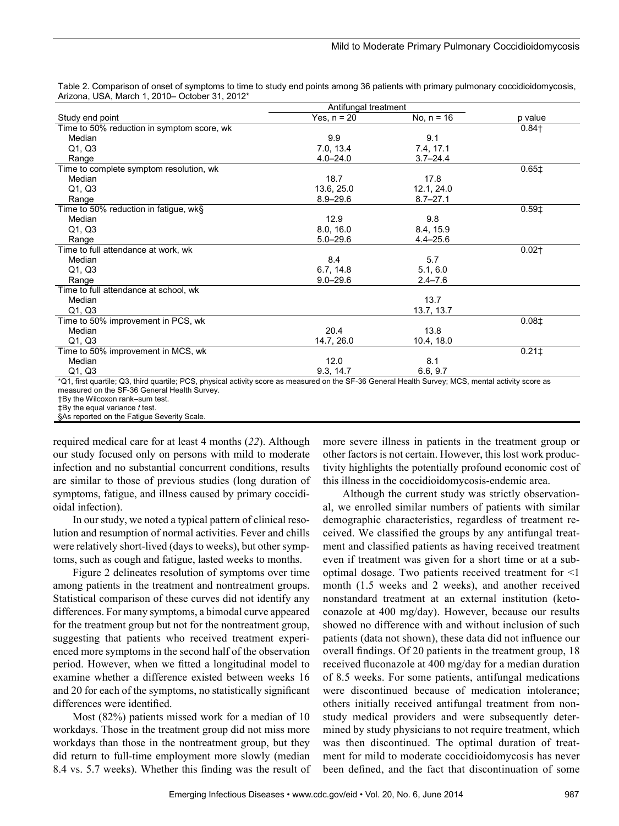|                                            | Antifungal treatment |              |                   |
|--------------------------------------------|----------------------|--------------|-------------------|
| Study end point                            | Yes, $n = 20$        | No, $n = 16$ | p value           |
| Time to 50% reduction in symptom score, wk |                      |              | $0.84 +$          |
| Median                                     | 9.9                  | 9.1          |                   |
| Q1, Q3                                     | 7.0, 13.4            | 7.4, 17.1    |                   |
| Range                                      | $4.0 - 24.0$         | $3.7 - 24.4$ |                   |
| Time to complete symptom resolution, wk    |                      |              | $0.65 \pm$        |
| Median                                     | 18.7                 | 17.8         |                   |
| Q1, Q3                                     | 13.6, 25.0           | 12.1, 24.0   |                   |
| Range                                      | $8.9 - 29.6$         | $8.7 - 27.1$ |                   |
| Time to 50% reduction in fatigue, wk§      |                      |              | 0.59 <sup>‡</sup> |
| Median                                     | 12.9                 | 9.8          |                   |
| Q1, Q3                                     | 8.0, 16.0            | 8.4, 15.9    |                   |
| Range                                      | $5.0 - 29.6$         | $4.4 - 25.6$ |                   |
| Time to full attendance at work, wk        |                      |              | $0.02+$           |
| Median                                     | 8.4                  | 5.7          |                   |
| Q1, Q3                                     | 6.7, 14.8            | 5.1, 6.0     |                   |
| Range                                      | $9.0 - 29.6$         | $2.4 - 7.6$  |                   |
| Time to full attendance at school, wk      |                      |              |                   |
| Median                                     |                      | 13.7         |                   |
| Q1, Q3                                     |                      | 13.7, 13.7   |                   |
| Time to 50% improvement in PCS, wk         |                      |              | $0.08+$           |
| Median                                     | 20.4                 | 13.8         |                   |
| Q1, Q3                                     | 14.7, 26.0           | 10.4, 18.0   |                   |
| Time to 50% improvement in MCS, wk         |                      |              | 0.21              |
| Median                                     | 12.0                 | 8.1          |                   |
| Q1, Q3                                     | 9.3, 14.7            | 6.6, 9.7     |                   |

Table 2. Comparison of onset of symptoms to time to study end points among 36 patients with primary pulmonary coccidioidomycosis, Arizona, USA, March 1, 2010– October 31, 2012\*

\*Q1, first quartile; Q3, third quartile; PCS, physical activity score as measured on the SF-36 General Health Survey; MCS, mental activity score as measured on the SF-36 General Health Survey.

†By the Wilcoxon rank–sum test.

‡By the equal variance *t* test.

§As reported on the Fatigue Severity Scale.

required medical care for at least 4 months (*22*). Although our study focused only on persons with mild to moderate infection and no substantial concurrent conditions, results are similar to those of previous studies (long duration of symptoms, fatigue, and illness caused by primary coccidioidal infection).

In our study, we noted a typical pattern of clinical resolution and resumption of normal activities. Fever and chills were relatively short-lived (days to weeks), but other symptoms, such as cough and fatigue, lasted weeks to months.

Figure 2 delineates resolution of symptoms over time among patients in the treatment and nontreatment groups. Statistical comparison of these curves did not identify any differences. For many symptoms, a bimodal curve appeared for the treatment group but not for the nontreatment group, suggesting that patients who received treatment experienced more symptoms in the second half of the observation period. However, when we fitted a longitudinal model to examine whether a difference existed between weeks 16 and 20 for each of the symptoms, no statistically significant differences were identified.

Most (82%) patients missed work for a median of 10 workdays. Those in the treatment group did not miss more workdays than those in the nontreatment group, but they did return to full-time employment more slowly (median 8.4 vs. 5.7 weeks). Whether this finding was the result of more severe illness in patients in the treatment group or other factors is not certain. However, this lost work productivity highlights the potentially profound economic cost of this illness in the coccidioidomycosis-endemic area.

Although the current study was strictly observational, we enrolled similar numbers of patients with similar demographic characteristics, regardless of treatment received. We classified the groups by any antifungal treatment and classified patients as having received treatment even if treatment was given for a short time or at a suboptimal dosage. Two patients received treatment for <1 month (1.5 weeks and 2 weeks), and another received nonstandard treatment at an external institution (ketoconazole at 400 mg/day). However, because our results showed no difference with and without inclusion of such patients (data not shown), these data did not influence our overall findings. Of 20 patients in the treatment group, 18 received fluconazole at 400 mg/day for a median duration of 8.5 weeks. For some patients, antifungal medications were discontinued because of medication intolerance; others initially received antifungal treatment from nonstudy medical providers and were subsequently determined by study physicians to not require treatment, which was then discontinued. The optimal duration of treatment for mild to moderate coccidioidomycosis has never been defined, and the fact that discontinuation of some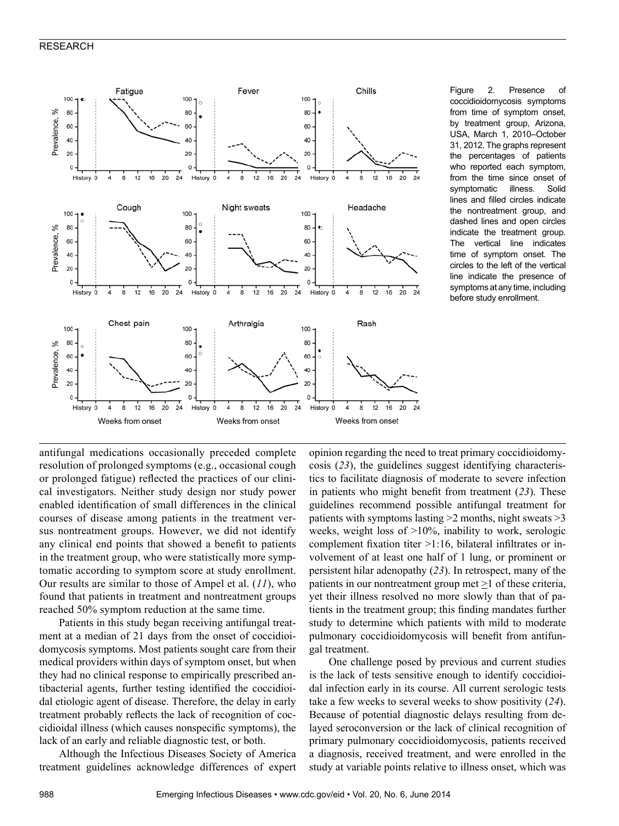

Figure 2. Presence of coccidioidomycosis symptoms from time of symptom onset, by treatment group, Arizona, USA, March 1, 2010–October 31, 2012. The graphs represent the percentages of patients who reported each symptom, from the time since onset of symptomatic illness. Solid lines and filled circles indicate the nontreatment group, and dashed lines and open circles indicate the treatment group. The vertical line indicates time of symptom onset. The circles to the left of the vertical line indicate the presence of symptoms at any time, including before study enrollment.

antifungal medications occasionally preceded complete resolution of prolonged symptoms (e.g., occasional cough or prolonged fatigue) reflected the practices of our clinical investigators. Neither study design nor study power enabled identification of small differences in the clinical courses of disease among patients in the treatment versus nontreatment groups. However, we did not identify any clinical end points that showed a benefit to patients in the treatment group, who were statistically more symptomatic according to symptom score at study enrollment. Our results are similar to those of Ampel et al. (*11*), who found that patients in treatment and nontreatment groups reached 50% symptom reduction at the same time.

Patients in this study began receiving antifungal treatment at a median of 21 days from the onset of coccidioidomycosis symptoms. Most patients sought care from their medical providers within days of symptom onset, but when they had no clinical response to empirically prescribed antibacterial agents, further testing identified the coccidioidal etiologic agent of disease. Therefore, the delay in early treatment probably reflects the lack of recognition of coccidioidal illness (which causes nonspecific symptoms), the lack of an early and reliable diagnostic test, or both.

Although the Infectious Diseases Society of America treatment guidelines acknowledge differences of expert opinion regarding the need to treat primary coccidioidomycosis (*23*), the guidelines suggest identifying characteristics to facilitate diagnosis of moderate to severe infection in patients who might benefit from treatment (*23*). These guidelines recommend possible antifungal treatment for patients with symptoms lasting >2 months, night sweats >3 weeks, weight loss of  $>10\%$ , inability to work, serologic complement fixation titer >1:16, bilateral infiltrates or involvement of at least one half of 1 lung, or prominent or persistent hilar adenopathy (*23*). In retrospect, many of the patients in our nontreatment group met  $\geq 1$  of these criteria, yet their illness resolved no more slowly than that of patients in the treatment group; this finding mandates further study to determine which patients with mild to moderate pulmonary coccidioidomycosis will benefit from antifungal treatment.

One challenge posed by previous and current studies is the lack of tests sensitive enough to identify coccidioidal infection early in its course. All current serologic tests take a few weeks to several weeks to show positivity (*24*). Because of potential diagnostic delays resulting from delayed seroconversion or the lack of clinical recognition of primary pulmonary coccidioidomycosis, patients received a diagnosis, received treatment, and were enrolled in the study at variable points relative to illness onset, which was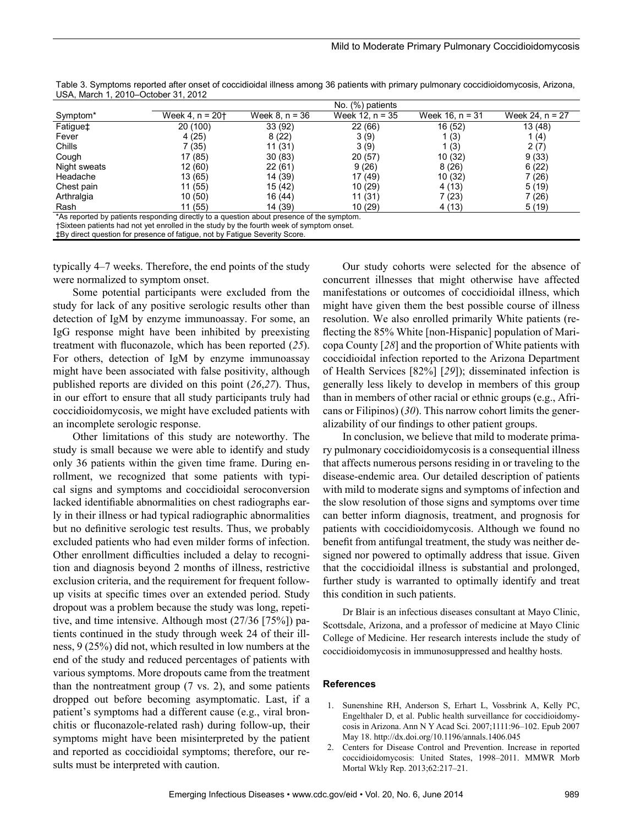|                                                                                           | No. (%) patients              |                  |                   |                      |                   |  |  |  |
|-------------------------------------------------------------------------------------------|-------------------------------|------------------|-------------------|----------------------|-------------------|--|--|--|
| Symptom*                                                                                  | Week 4, $n = 20$ <sup>+</sup> | Week $8, n = 36$ | Week $12, n = 35$ | Week $16$ , $n = 31$ | Week 24, $n = 27$ |  |  |  |
| Fatigue‡                                                                                  | 20 (100)                      | 33 (92)          | 22 (66)           | 16 (52)              | 13 (48)           |  |  |  |
| Fever                                                                                     | 4(25)                         | 8(22)            | 3(9)              | (3)                  | 1(4)              |  |  |  |
| Chills                                                                                    | 7 (35)                        | 11(31)           | 3(9)              | (3)                  | 2(7)              |  |  |  |
| Cough                                                                                     | 17 (85)                       | 30(83)           | 20(57)            | 10 (32)              | 9(33)             |  |  |  |
| Night sweats                                                                              | 12 (60)                       | 22(61)           | 9(26)             | 8(26)                | 6(22)             |  |  |  |
| Headache                                                                                  | 13 (65)                       | 14 (39)          | 17 (49)           | 10(32)               | 7(26)             |  |  |  |
| Chest pain                                                                                | 11 (55)                       | 15 (42)          | 10(29)            | 4(13)                | 5(19)             |  |  |  |
| Arthralgia                                                                                | 10(50)                        | 16 (44)          | 11(31)            | 7(23)                | 7 (26)            |  |  |  |
| Rash                                                                                      | 11 (55)                       | 14 (39)          | 10(29)            | 4 (13)               | 5(19)             |  |  |  |
| *As reported by patients responding directly to a question about presence of the symptom. |                               |                  |                   |                      |                   |  |  |  |
| †Sixteen patients had not yet enrolled in the study by the fourth week of symptom onset.  |                               |                  |                   |                      |                   |  |  |  |
| ±By direct question for presence of fatigue, not by Fatigue Severity Score.               |                               |                  |                   |                      |                   |  |  |  |

Table 3. Symptoms reported after onset of coccidioidal illness among 36 patients with primary pulmonary coccidioidomycosis, Arizona, USA, March 1, 2010–October 31, 2012

typically 4–7 weeks. Therefore, the end points of the study were normalized to symptom onset.

Some potential participants were excluded from the study for lack of any positive serologic results other than detection of IgM by enzyme immunoassay. For some, an IgG response might have been inhibited by preexisting treatment with fluconazole, which has been reported (*25*). For others, detection of IgM by enzyme immunoassay might have been associated with false positivity, although published reports are divided on this point (*26*,*27*). Thus, in our effort to ensure that all study participants truly had coccidioidomycosis, we might have excluded patients with an incomplete serologic response.

Other limitations of this study are noteworthy. The study is small because we were able to identify and study only 36 patients within the given time frame. During enrollment, we recognized that some patients with typical signs and symptoms and coccidioidal seroconversion lacked identifiable abnormalities on chest radiographs early in their illness or had typical radiographic abnormalities but no definitive serologic test results. Thus, we probably excluded patients who had even milder forms of infection. Other enrollment difficulties included a delay to recognition and diagnosis beyond 2 months of illness, restrictive exclusion criteria, and the requirement for frequent followup visits at specific times over an extended period. Study dropout was a problem because the study was long, repetitive, and time intensive. Although most (27/36 [75%]) patients continued in the study through week 24 of their illness, 9 (25%) did not, which resulted in low numbers at the end of the study and reduced percentages of patients with various symptoms. More dropouts came from the treatment than the nontreatment group (7 vs. 2), and some patients dropped out before becoming asymptomatic. Last, if a patient's symptoms had a different cause (e.g., viral bronchitis or fluconazole-related rash) during follow-up, their symptoms might have been misinterpreted by the patient and reported as coccidioidal symptoms; therefore, our results must be interpreted with caution.

Our study cohorts were selected for the absence of concurrent illnesses that might otherwise have affected manifestations or outcomes of coccidioidal illness, which might have given them the best possible course of illness resolution. We also enrolled primarily White patients (reflecting the 85% White [non-Hispanic] population of Maricopa County [*28*] and the proportion of White patients with coccidioidal infection reported to the Arizona Department of Health Services [82%] [*29*]); disseminated infection is generally less likely to develop in members of this group than in members of other racial or ethnic groups (e.g., Africans or Filipinos) (*30*). This narrow cohort limits the generalizability of our findings to other patient groups.

In conclusion, we believe that mild to moderate primary pulmonary coccidioidomycosis is a consequential illness that affects numerous persons residing in or traveling to the disease-endemic area. Our detailed description of patients with mild to moderate signs and symptoms of infection and the slow resolution of those signs and symptoms over time can better inform diagnosis, treatment, and prognosis for patients with coccidioidomycosis. Although we found no benefit from antifungal treatment, the study was neither designed nor powered to optimally address that issue. Given that the coccidioidal illness is substantial and prolonged, further study is warranted to optimally identify and treat this condition in such patients.

Dr Blair is an infectious diseases consultant at Mayo Clinic, Scottsdale, Arizona, and a professor of medicine at Mayo Clinic College of Medicine. Her research interests include the study of coccidioidomycosis in immunosuppressed and healthy hosts.

#### **References**

- 1. Sunenshine RH, Anderson S, Erhart L, Vossbrink A, Kelly PC, Engelthaler D, et al. Public health surveillance for coccidioidomycosis in Arizona. Ann N Y Acad Sci. 2007;1111:96–102. Epub 2007 May 18. http://dx.doi.org/10.1196/annals.1406.045
- 2. Centers for Disease Control and Prevention. Increase in reported coccidioidomycosis: United States, 1998–2011. MMWR Morb Mortal Wkly Rep. 2013;62:217–21.